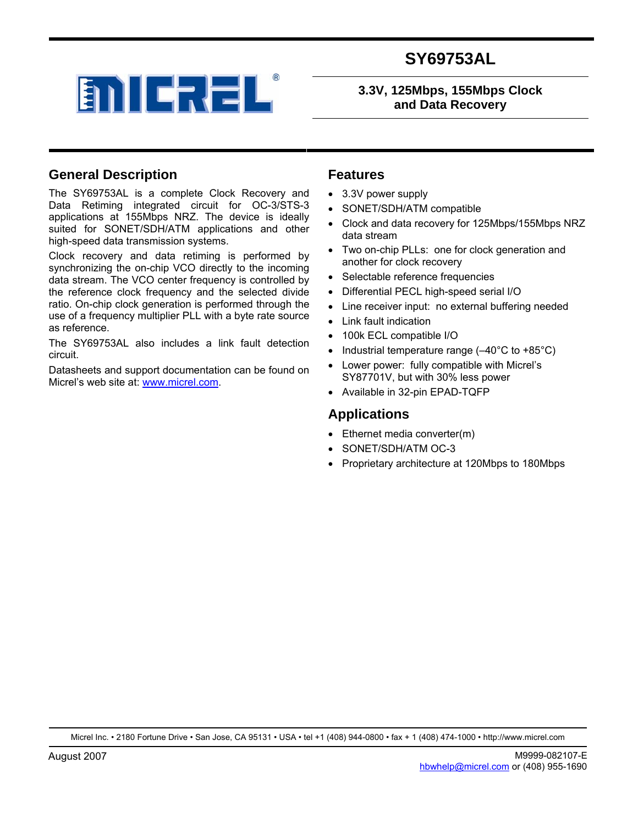

#### **3.3V, 125Mbps, 155Mbps Clock and Data Recovery**

#### **General Description**

The SY69753AL is a complete Clock Recovery and Data Retiming integrated circuit for OC-3/STS-3 applications at 155Mbps NRZ. The device is ideally suited for SONET/SDH/ATM applications and other high-speed data transmission systems.

Clock recovery and data retiming is performed by synchronizing the on-chip VCO directly to the incoming data stream. The VCO center frequency is controlled by the reference clock frequency and the selected divide ratio. On-chip clock generation is performed through the use of a frequency multiplier PLL with a byte rate source as reference.

The SY69753AL also includes a link fault detection circuit.

Datasheets and support documentation can be found on Micrel's web site at: www.micrel.com.

#### **Features**

- 3.3V power supply
- SONET/SDH/ATM compatible
- Clock and data recovery for 125Mbps/155Mbps NRZ data stream
- Two on-chip PLLs: one for clock generation and another for clock recovery
- Selectable reference frequencies
- Differential PECL high-speed serial I/O
- Line receiver input: no external buffering needed
- Link fault indication
- 100k ECL compatible I/O
- Industrial temperature range  $(-40^{\circ}C \text{ to } +85^{\circ}C)$
- Lower power: fully compatible with Micrel's SY87701V, but with 30% less power
- Available in 32-pin EPAD-TQFP

#### **Applications**

- Ethernet media converter(m)
- SONET/SDH/ATM OC-3
- Proprietary architecture at 120Mbps to 180Mbps

Micrel Inc. • 2180 Fortune Drive • San Jose, CA 95131 • USA • tel +1 (408) 944-0800 • fax + 1 (408) 474-1000 • http://www.micrel.com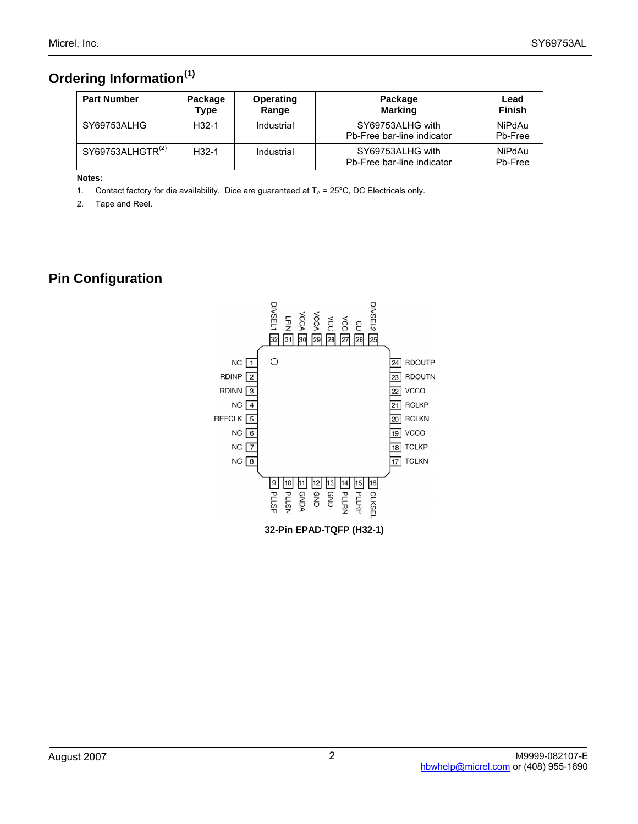# **Ordering Information(1)**

| <b>Part Number</b>           | Package<br>Type | Operating<br>Range | Package<br><b>Marking</b>                      | Lead<br><b>Finish</b> |
|------------------------------|-----------------|--------------------|------------------------------------------------|-----------------------|
| SY69753ALHG                  | $H32-1$         | Industrial         | SY69753ALHG with<br>Pb-Free bar-line indicator | NiPdAu<br>Pb-Free     |
| SY69753ALHGTR <sup>(2)</sup> | $H32-1$         | Industrial         | SY69753ALHG with<br>Pb-Free bar-line indicator | NiPdAu<br>Pb-Free     |

#### **Notes:**

1. Contact factory for die availability. Dice are guaranteed at  $T_A = 25^{\circ}$ C, DC Electricals only.

2. Tape and Reel.

# **Pin Configuration**

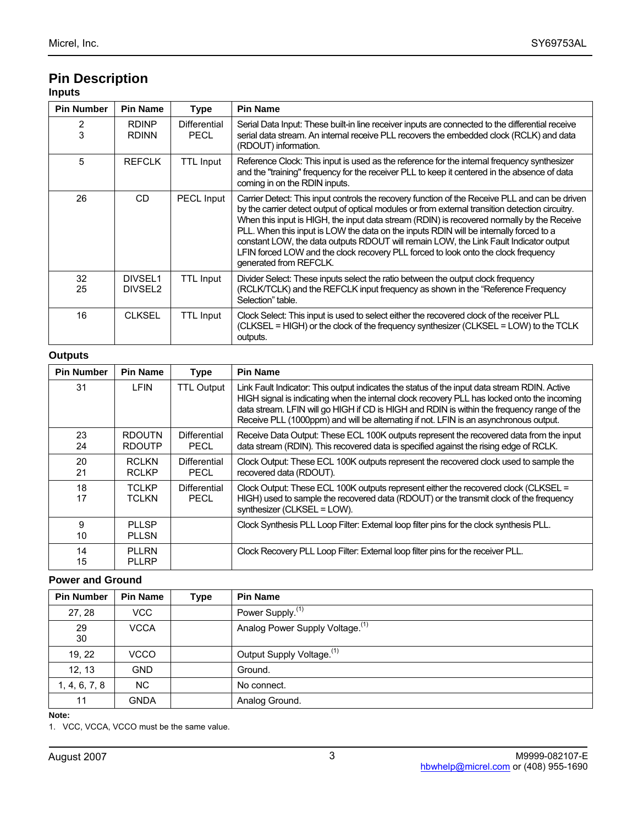#### **Pin Description Inputs**

| <b>Pin Number</b> | <b>Pin Name</b>                | <b>Type</b>                 | <b>Pin Name</b>                                                                                                                                                                                                                                                                                                                                                                                                                                                                                                                                                                                     |
|-------------------|--------------------------------|-----------------------------|-----------------------------------------------------------------------------------------------------------------------------------------------------------------------------------------------------------------------------------------------------------------------------------------------------------------------------------------------------------------------------------------------------------------------------------------------------------------------------------------------------------------------------------------------------------------------------------------------------|
| $\frac{2}{3}$     | <b>RDINP</b><br><b>RDINN</b>   | Differential<br><b>PECL</b> | Serial Data Input: These built-in line receiver inputs are connected to the differential receive<br>serial data stream. An internal receive PLL recovers the embedded clock (RCLK) and data<br>(RDOUT) information.                                                                                                                                                                                                                                                                                                                                                                                 |
| 5                 | <b>REFCLK</b>                  | <b>TTL Input</b>            | Reference Clock: This input is used as the reference for the internal frequency synthesizer<br>and the "training" frequency for the receiver PLL to keep it centered in the absence of data<br>coming in on the RDIN inputs.                                                                                                                                                                                                                                                                                                                                                                        |
| 26                | CD.                            | <b>PECL Input</b>           | Carrier Detect: This input controls the recovery function of the Receive PLL and can be driven<br>by the carrier detect output of optical modules or from external transition detection circuitry.<br>When this input is HIGH, the input data stream (RDIN) is recovered normally by the Receive<br>PLL. When this input is LOW the data on the inputs RDIN will be internally forced to a<br>constant LOW, the data outputs RDOUT will remain LOW, the Link Fault Indicator output<br>LFIN forced LOW and the clock recovery PLL forced to look onto the clock frequency<br>generated from REFCLK. |
| 32<br>25          | DIVSEL1<br>DIVSEL <sub>2</sub> | <b>TTL Input</b>            | Divider Select: These inputs select the ratio between the output clock frequency<br>(RCLK/TCLK) and the REFCLK input frequency as shown in the "Reference Frequency<br>Selection" table.                                                                                                                                                                                                                                                                                                                                                                                                            |
| 16                | <b>CLKSEL</b>                  | TTL Input                   | Clock Select: This input is used to select either the recovered clock of the receiver PLL<br>(CLKSEL = HIGH) or the clock of the frequency synthesizer (CLKSEL = LOW) to the TCLK<br>outputs.                                                                                                                                                                                                                                                                                                                                                                                                       |

#### **Outputs**

| <b>Pin Number</b> | <b>Pin Name</b>                | Type                        | <b>Pin Name</b>                                                                                                                                                                                                                                                                                                                                                                    |
|-------------------|--------------------------------|-----------------------------|------------------------------------------------------------------------------------------------------------------------------------------------------------------------------------------------------------------------------------------------------------------------------------------------------------------------------------------------------------------------------------|
| 31                | <b>LFIN</b>                    | <b>TTL Output</b>           | Link Fault Indicator: This output indicates the status of the input data stream RDIN. Active<br>HIGH signal is indicating when the internal clock recovery PLL has locked onto the incoming<br>data stream. LFIN will go HIGH if CD is HIGH and RDIN is within the frequency range of the<br>Receive PLL (1000ppm) and will be alternating if not. LFIN is an asynchronous output. |
| 23<br>24          | <b>RDOUTN</b><br><b>RDOUTP</b> | Differential<br>PECL        | Receive Data Output: These ECL 100K outputs represent the recovered data from the input<br>data stream (RDIN). This recovered data is specified against the rising edge of RCLK.                                                                                                                                                                                                   |
| 20<br>21          | <b>RCLKN</b><br><b>RCLKP</b>   | Differential<br><b>PECL</b> | Clock Output: These ECL 100K outputs represent the recovered clock used to sample the<br>recovered data (RDOUT).                                                                                                                                                                                                                                                                   |
| 18<br>17          | <b>TCLKP</b><br>TCLKN          | Differential<br><b>PECL</b> | Clock Output: These ECL 100K outputs represent either the recovered clock (CLKSEL =<br>HIGH) used to sample the recovered data (RDOUT) or the transmit clock of the frequency<br>synthesizer (CLKSEL = LOW).                                                                                                                                                                       |
| 9<br>10           | <b>PIISP</b><br><b>PLLSN</b>   |                             | Clock Synthesis PLL Loop Filter: External loop filter pins for the clock synthesis PLL.                                                                                                                                                                                                                                                                                            |
| 14<br>15          | <b>PLLRN</b><br><b>PLLRP</b>   |                             | Clock Recovery PLL Loop Filter: External loop filter pins for the receiver PLL.                                                                                                                                                                                                                                                                                                    |

#### **Power and Ground**

| <b>Pin Number</b> | <b>Pin Name</b> | Type | <b>Pin Name</b>                             |
|-------------------|-----------------|------|---------------------------------------------|
| 27, 28            | <b>VCC</b>      |      | Power Supply. <sup>(1)</sup>                |
| 29<br>30          | <b>VCCA</b>     |      | Analog Power Supply Voltage. <sup>(1)</sup> |
| 19, 22            | VCCO            |      | Output Supply Voltage. <sup>(1)</sup>       |
| 12, 13            | <b>GND</b>      |      | Ground.                                     |
| 1, 4, 6, 7, 8     | <b>NC</b>       |      | No connect.                                 |
| 11                | <b>GNDA</b>     |      | Analog Ground.                              |

#### **Note:**

1. VCC, VCCA, VCCO must be the same value.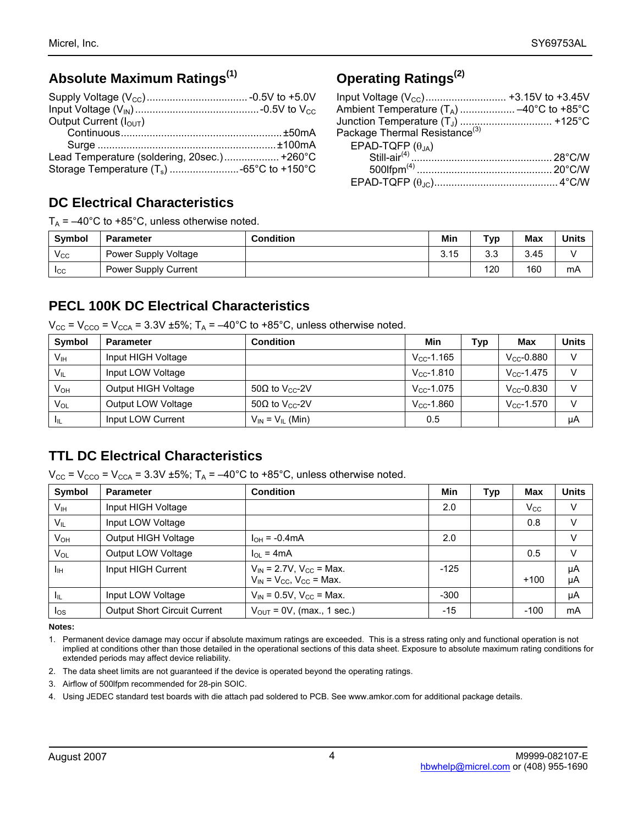## **Absolute Maximum Ratings(1)**

| Output Current $(IOUT)$                     |  |
|---------------------------------------------|--|
|                                             |  |
|                                             |  |
| Lead Temperature (soldering, 20sec.) +260°C |  |
|                                             |  |

### **DC Electrical Characteristics**

 $T_A = -40^{\circ}$ C to +85°C, unless otherwise noted.

| <b>Symbol</b> | <b>Parameter</b>            | <b>Condition</b> | Min  | <b>Typ</b>        | <b>Max</b> | <b>Units</b> |
|---------------|-----------------------------|------------------|------|-------------------|------------|--------------|
| $V_{\rm CC}$  | Power Supply Voltage        |                  | 3.15 | <b>CC</b><br>ن. ب | 3.45       |              |
| <b>ICC</b>    | <b>Power Supply Current</b> |                  |      | 120               | 160        | mA           |

### **PECL 100K DC Electrical Characteristics**

 $V_{CC}$  =  $V_{CCO}$  =  $V_{CCA}$  = 3.3V ±5%; T<sub>A</sub> = -40°C to +85°C, unless otherwise noted.

| Symbol          | <b>Parameter</b>    | <b>Condition</b>                   | Min                 | Typ | Max                 | Units |
|-----------------|---------------------|------------------------------------|---------------------|-----|---------------------|-------|
| Vıн             | Input HIGH Voltage  |                                    | $V_{CC}$ -1.165     |     | $V_{CC} - 0.880$    | v     |
| $V_{IL}$        | Input LOW Voltage   |                                    | $V_{\rm CC}$ -1.810 |     | $V_{\rm CC}$ -1.475 |       |
| V <sub>он</sub> | Output HIGH Voltage | 50 $\Omega$ to V <sub>cc</sub> -2V | $V_{CC}$ -1.075     |     | $V_{CC}$ -0.830     | V     |
| $V_{OL}$        | Output LOW Voltage  | 50 $\Omega$ to V <sub>cc</sub> -2V | $V_{CC}$ -1.860     |     | $V_{CC}$ -1.570     | V     |
| Ħш              | Input LOW Current   | $V_{IN} = V_{IL}$ (Min)            | 0.5                 |     |                     | μΑ    |

### **TTL DC Electrical Characteristics**

 $V_{CC}$  =  $V_{CCO}$  =  $V_{CCA}$  = 3.3V ±5%; T<sub>A</sub> = -40°C to +85°C, unless otherwise noted.

| Symbol          | <b>Parameter</b>                    | <b>Condition</b>                                                          | Min    | Typ | Max          | <b>Units</b> |
|-----------------|-------------------------------------|---------------------------------------------------------------------------|--------|-----|--------------|--------------|
| V <sub>IH</sub> | Input HIGH Voltage                  |                                                                           | 2.0    |     | $V_{\rm CC}$ | $\vee$       |
| $V_{IL}$        | Input LOW Voltage                   |                                                                           |        |     | 0.8          | V            |
| $V_{OH}$        | Output HIGH Voltage                 | $I_{OH} = -0.4 \text{mA}$                                                 | 2.0    |     |              | $\vee$       |
| VOL             | Output LOW Voltage                  | $I_{OL}$ = 4mA                                                            |        |     | 0.5          | V            |
| Īщ              | Input HIGH Current                  | $V_{IN}$ = 2.7V, $V_{CC}$ = Max.<br>$V_{IN}$ = $V_{CC}$ , $V_{CC}$ = Max. | $-125$ |     | $+100$       | μA<br>μA     |
| Чı              | Input LOW Voltage                   | $V_{IN}$ = 0.5V, $V_{CC}$ = Max.                                          | $-300$ |     |              | μA           |
| los             | <b>Output Short Circuit Current</b> | $V_{OUT}$ = 0V, (max., 1 sec.)                                            | $-15$  |     | $-100$       | mA           |

**Notes:** 

1. Permanent device damage may occur if absolute maximum ratings are exceeded. This is a stress rating only and functional operation is not implied at conditions other than those detailed in the operational sections of this data sheet. Exposure to absolute maximum rating conditions for extended periods may affect device reliability.

2. The data sheet limits are not guaranteed if the device is operated beyond the operating ratings.

- 3. Airflow of 500lfpm recommended for 28-pin SOIC.
- 4. Using JEDEC standard test boards with die attach pad soldered to PCB. See www.amkor.com for additional package details.

| Input Voltage $(V_{\text{CC}})$ +3.15V to +3.45V |  |
|--------------------------------------------------|--|
| Ambient Temperature $(T_A)$ –40°C to +85°C       |  |
| Junction Temperature (T <sub>J</sub> )  +125°C   |  |
| Package Thermal Resistance <sup>(3)</sup>        |  |
|                                                  |  |
|                                                  |  |
|                                                  |  |
|                                                  |  |
|                                                  |  |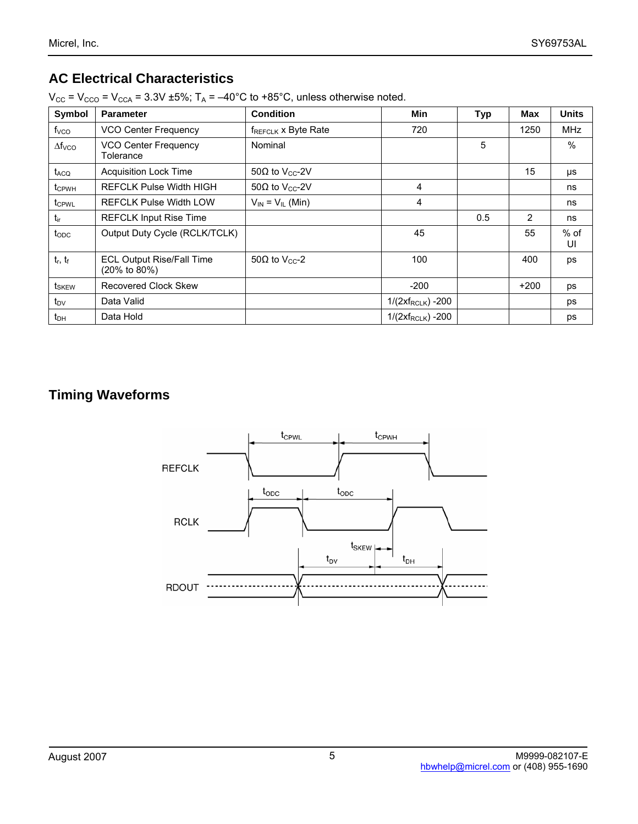# **AC Electrical Characteristics**

| Symbol            | <b>Parameter</b>                                 | <b>Condition</b>                   | Min                    | <b>Typ</b> | Max    | <b>Units</b> |
|-------------------|--------------------------------------------------|------------------------------------|------------------------|------------|--------|--------------|
| f <sub>VCO</sub>  | VCO Center Frequency                             | $f_{REFCLK}$ x Byte Rate           | 720                    |            | 1250   | <b>MHz</b>   |
| $\Delta f_{VCO}$  | VCO Center Frequency<br>Tolerance                | Nominal                            |                        | 5          |        | $\%$         |
| t <sub>ACQ</sub>  | <b>Acquisition Lock Time</b>                     | 50 $\Omega$ to V <sub>cc</sub> -2V |                        |            | 15     | μs           |
| tc <sub>PWH</sub> | <b>REFCLK Pulse Width HIGH</b>                   | 50 $\Omega$ to V <sub>cc</sub> -2V | 4                      |            |        | ns           |
| t <sub>CPWL</sub> | <b>REFCLK Pulse Width LOW</b>                    | $V_{IN} = V_{IL}$ (Min)            | 4                      |            |        | ns           |
| tir               | <b>REFCLK Input Rise Time</b>                    |                                    |                        | 0.5        | 2      | ns           |
| $t_{ODC}$         | Output Duty Cycle (RCLK/TCLK)                    |                                    | 45                     |            | 55     | $%$ of<br>UI |
| $t_r$ , $t_f$     | <b>ECL Output Rise/Fall Time</b><br>(20% to 80%) | 50 $\Omega$ to V <sub>cc</sub> -2  | 100                    |            | 400    | ps           |
| t <sub>skew</sub> | Recovered Clock Skew                             |                                    | $-200$                 |            | $+200$ | ps           |
| $t_{\text{DV}}$   | Data Valid                                       |                                    | $1/(2xf_{RCLK}) - 200$ |            |        | ps           |
| $t_{DH}$          | Data Hold                                        |                                    | $1/(2xf_{RCLK}) - 200$ |            |        | ps           |

 $V_{CC}$  =  $V_{CCO}$  =  $V_{CCA}$  = 3.3V ±5%; T<sub>A</sub> = -40°C to +85°C, unless otherwise noted.

## **Timing Waveforms**

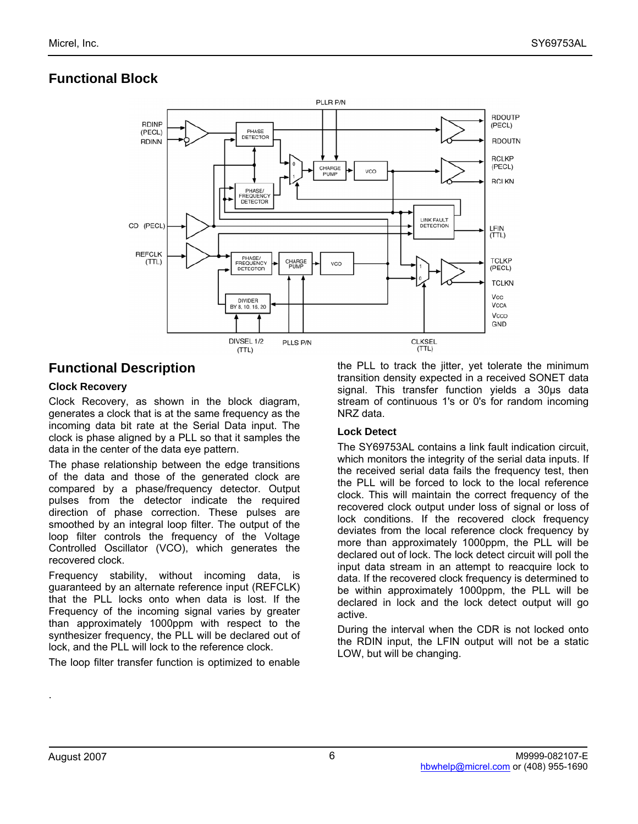## **Functional Block**



### **Functional Description**

#### **Clock Recovery**

Clock Recovery, as shown in the block diagram, generates a clock that is at the same frequency as the incoming data bit rate at the Serial Data input. The clock is phase aligned by a PLL so that it samples the data in the center of the data eye pattern.

The phase relationship between the edge transitions of the data and those of the generated clock are compared by a phase/frequency detector. Output pulses from the detector indicate the required direction of phase correction. These pulses are smoothed by an integral loop filter. The output of the loop filter controls the frequency of the Voltage Controlled Oscillator (VCO), which generates the recovered clock.

Frequency stability, without incoming data, is guaranteed by an alternate reference input (REFCLK) that the PLL locks onto when data is lost. If the Frequency of the incoming signal varies by greater than approximately 1000ppm with respect to the synthesizer frequency, the PLL will be declared out of lock, and the PLL will lock to the reference clock.

The loop filter transfer function is optimized to enable

the PLL to track the jitter, yet tolerate the minimum transition density expected in a received SONET data signal. This transfer function yields a 30µs data stream of continuous 1's or 0's for random incoming NRZ data.

#### **Lock Detect**

The SY69753AL contains a link fault indication circuit, which monitors the integrity of the serial data inputs. If the received serial data fails the frequency test, then the PLL will be forced to lock to the local reference clock. This will maintain the correct frequency of the recovered clock output under loss of signal or loss of lock conditions. If the recovered clock frequency deviates from the local reference clock frequency by more than approximately 1000ppm, the PLL will be declared out of lock. The lock detect circuit will poll the input data stream in an attempt to reacquire lock to data. If the recovered clock frequency is determined to be within approximately 1000ppm, the PLL will be declared in lock and the lock detect output will go active.

During the interval when the CDR is not locked onto the RDIN input, the LFIN output will not be a static LOW, but will be changing.

.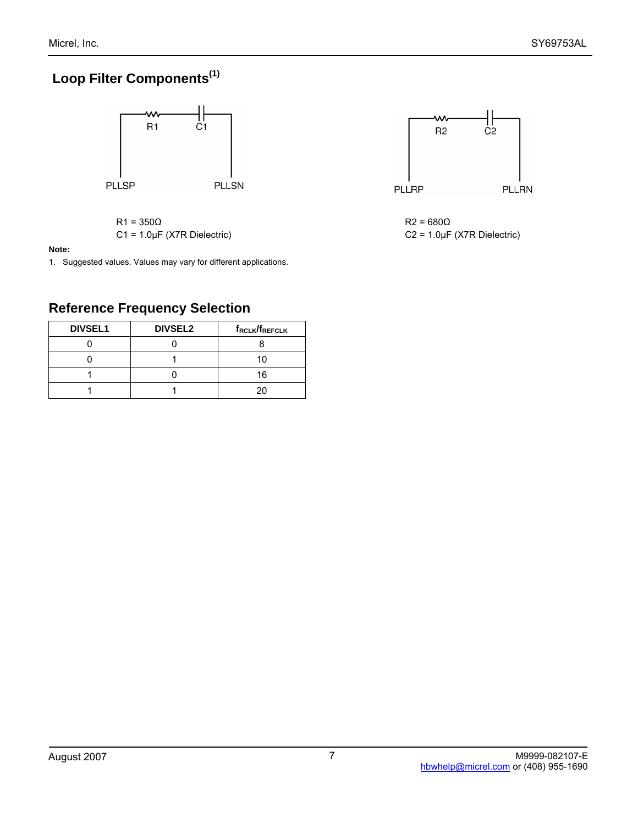# **Loop Filter Components(1)**



 $R1 = 350\Omega$ C1 = 1.0µF (X7R Dielectric)

#### **Note:**

1. Suggested values. Values may vary for different applications.

## **Reference Frequency Selection**

| <b>DIVSEL1</b> | <b>DIVSEL2</b> | f <sub>RCLK</sub> /f <sub>REFCLK</sub> |
|----------------|----------------|----------------------------------------|
|                |                |                                        |
|                |                | 10                                     |
|                |                | 16                                     |
|                |                |                                        |

 $R2 = 680\Omega$ C2 = 1.0µF (X7R Dielectric)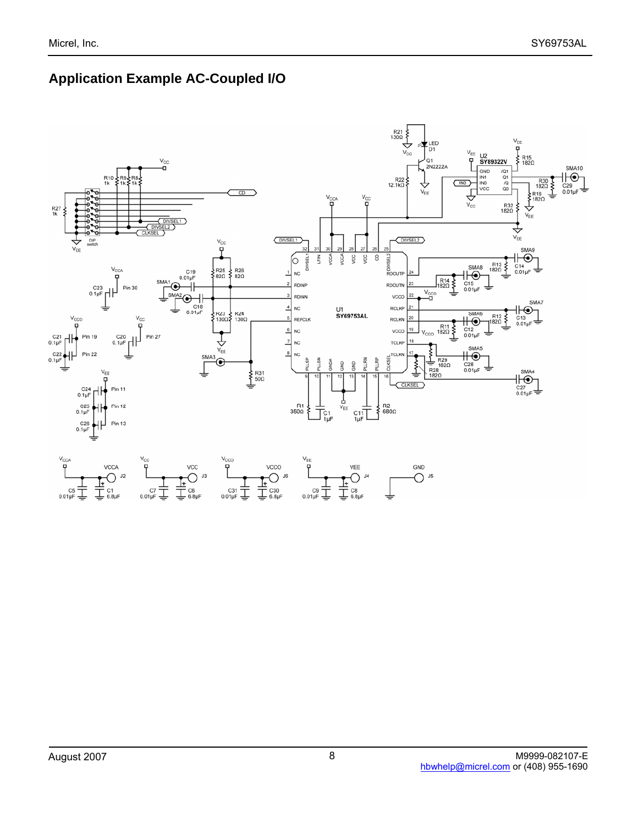# **Application Example AC-Coupled I/O**

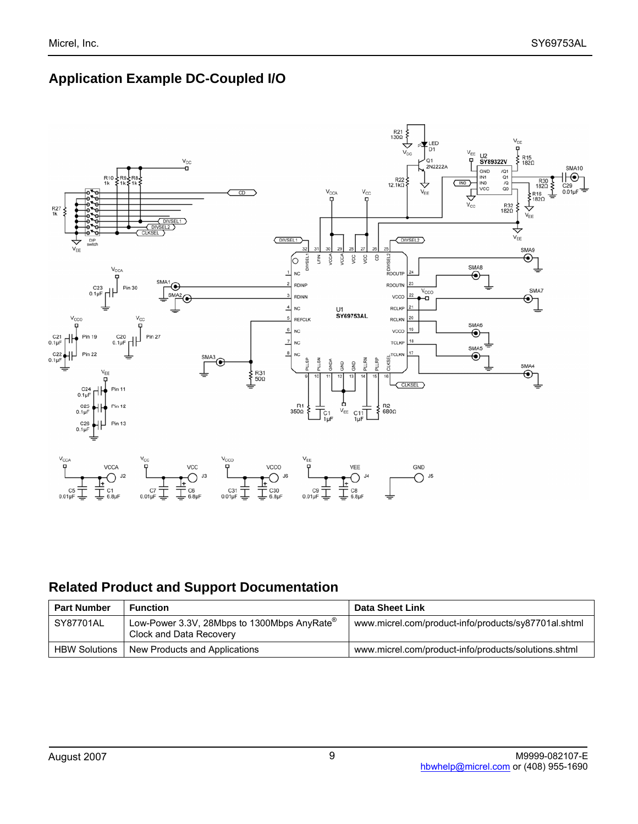## **Application Example DC-Coupled I/O**



## **Related Product and Support Documentation**

| <b>Part Number</b>   | <b>Function</b>                                                                      | Data Sheet Link                                      |
|----------------------|--------------------------------------------------------------------------------------|------------------------------------------------------|
| SY87701AL            | Low-Power 3.3V, 28Mbps to 1300Mbps AnyRate $^{\circledR}$<br>Clock and Data Recovery | www.micrel.com/product-info/products/sy87701al.shtml |
| <b>HBW Solutions</b> | New Products and Applications                                                        | www.micrel.com/product-info/products/solutions.shtml |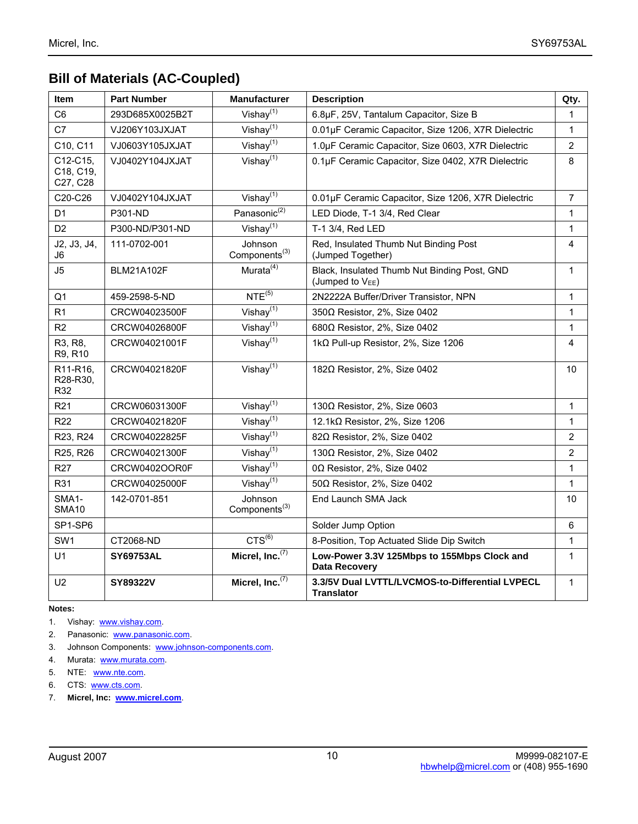## **Bill of Materials (AC-Coupled)**

| Item                               | <b>Part Number</b> | <b>Manufacturer</b>                  | <b>Description</b>                                                           | Qty.           |
|------------------------------------|--------------------|--------------------------------------|------------------------------------------------------------------------------|----------------|
| C <sub>6</sub>                     | 293D685X0025B2T    | Vishay $(1)$                         | 6.8µF, 25V, Tantalum Capacitor, Size B                                       | $\mathbf{1}$   |
| C7                                 | VJ206Y103JXJAT     | Vishay $\overline{^{(1)}}$           | 0.01µF Ceramic Capacitor, Size 1206, X7R Dielectric                          | 1              |
| C10, C11                           | VJ0603Y105JXJAT    | Vishay <sup>(1)</sup>                | 1.0µF Ceramic Capacitor, Size 0603, X7R Dielectric                           | 2              |
| C12-C15,<br>C18, C19,<br>C27, C28  | VJ0402Y104JXJAT    | Vishay $(1)$                         | 0.1µF Ceramic Capacitor, Size 0402, X7R Dielectric                           | 8              |
| C20-C26                            | VJ0402Y104JXJAT    | Vishay $\overline{^{(1)}}$           | 0.01µF Ceramic Capacitor, Size 1206, X7R Dielectric                          | $\overline{7}$ |
| D <sub>1</sub>                     | P301-ND            | Panasonic <sup>(2)</sup>             | LED Diode, T-1 3/4, Red Clear                                                | 1              |
| D <sub>2</sub>                     | P300-ND/P301-ND    | Vishay $\sqrt{(1)}$                  | T-1 3/4, Red LED                                                             | 1              |
| J2, J3, J4,<br>J6                  | 111-0702-001       | Johnson<br>Components <sup>(3)</sup> | Red, Insulated Thumb Nut Binding Post<br>(Jumped Together)                   | 4              |
| J5                                 | <b>BLM21A102F</b>  | Murata <sup>(4)</sup>                | Black, Insulated Thumb Nut Binding Post, GND<br>(Jumped to V <sub>EE</sub> ) | 1              |
| Q <sub>1</sub>                     | 459-2598-5-ND      | $NTE^{(5)}$                          | 2N2222A Buffer/Driver Transistor, NPN                                        | 1              |
| R1                                 | CRCW04023500F      | Vishay $(1)$                         | 350Ω Resistor, 2%, Size 0402                                                 | $\mathbf{1}$   |
| R2                                 | CRCW04026800F      | Vishay $\overline{y^{(1)}}$          | 680Ω Resistor, 2%, Size 0402                                                 | 1              |
| R3, R8,<br>R9, R10                 | CRCW04021001F      | Vishay $^{(1)}$                      | 1kΩ Pull-up Resistor, 2%, Size 1206                                          | 4              |
| R11-R16,<br>R28-R30,<br>R32        | CRCW04021820F      | Vishay $\overline{^{(1)}}$           | 182Ω Resistor, 2%, Size 0402                                                 | 10             |
| R <sub>21</sub>                    | CRCW06031300F      | Vishay $(1)$                         | 130Ω Resistor, 2%, Size 0603                                                 | 1              |
| <b>R22</b>                         | CRCW04021820F      | Vishay $(1)$                         | 12.1kΩ Resistor, 2%, Size 1206                                               | $\mathbf{1}$   |
| R23, R24                           | CRCW04022825F      | Vishay $\sqrt{(1)}$                  | 820 Resistor, 2%, Size 0402                                                  | $\overline{2}$ |
| R25, R26                           | CRCW04021300F      | Vishay $(1)$                         | 130 $\Omega$ Resistor, 2%, Size 0402                                         | 2              |
| R <sub>27</sub>                    | CRCW0402OOR0F      | Vishay $\sqrt{(1)}$                  | $0\Omega$ Resistor, 2%, Size 0402                                            | 1              |
| R31                                | CRCW04025000F      | Vishay $\overline{^{(1)}}$           | 50Ω Resistor, 2%, Size 0402                                                  | $\mathbf{1}$   |
| SMA <sub>1</sub> -<br><b>SMA10</b> | 142-0701-851       | Johnson<br>Components <sup>(3)</sup> | End Launch SMA Jack                                                          | 10             |
| SP1-SP6                            |                    |                                      | Solder Jump Option                                                           | 6              |
| SW1                                | CT2068-ND          | $CTS^{(6)}$                          | 8-Position, Top Actuated Slide Dip Switch                                    | 1              |
| U1                                 | <b>SY69753AL</b>   | Micrel, Inc. <sup>(7)</sup>          | Low-Power 3.3V 125Mbps to 155Mbps Clock and<br>Data Recovery                 | $\mathbf{1}$   |
| U <sub>2</sub>                     | SY89322V           | Micrel, Inc. <sup>(7)</sup>          | 3.3/5V Dual LVTTL/LVCMOS-to-Differential LVPECL<br><b>Translator</b>         | 1              |

#### **Notes:**

- 1. Vishay: www.vishay.com.
- 2. Panasonic: www.panasonic.com.
- 3. Johnson Components: www.johnson-components.com.
- 4. Murata: www.murata.com.
- 5. NTE: www.nte.com.
- 6. CTS: www.cts.com.
- 7. **Micrel, Inc: www.micrel.com**.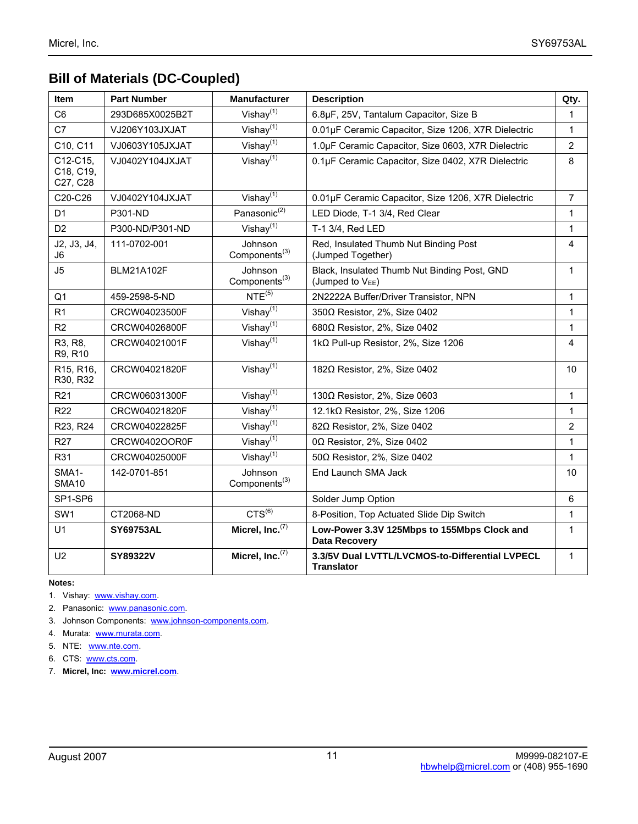## **Bill of Materials (DC-Coupled)**

| Item                              | <b>Part Number</b> | <b>Manufacturer</b>                         | <b>Description</b>                                                    | Qty.           |
|-----------------------------------|--------------------|---------------------------------------------|-----------------------------------------------------------------------|----------------|
| C <sub>6</sub>                    | 293D685X0025B2T    | Vishay $(1)$                                | 6.8µF, 25V, Tantalum Capacitor, Size B                                | 1              |
| C7                                | VJ206Y103JXJAT     | Vishay $(1)$                                | 0.01µF Ceramic Capacitor, Size 1206, X7R Dielectric                   | 1              |
| C10, C11                          | VJ0603Y105JXJAT    | Vishay $(1)$                                | 1.0µF Ceramic Capacitor, Size 0603, X7R Dielectric                    | $\overline{2}$ |
| C12-C15,<br>C18, C19,<br>C27, C28 | VJ0402Y104JXJAT    | Vishay $\overline{^{(1)}}$                  | 0.1µF Ceramic Capacitor, Size 0402, X7R Dielectric                    | 8              |
| C20-C26                           | VJ0402Y104JXJAT    | Vishay $(1)$                                | 0.01µF Ceramic Capacitor, Size 1206, X7R Dielectric                   | 7              |
| D <sub>1</sub>                    | <b>P301-ND</b>     | Panasonic <sup>(2)</sup>                    | LED Diode, T-1 3/4, Red Clear                                         | 1              |
| D <sub>2</sub>                    | P300-ND/P301-ND    | Vishay $(1)$                                | T-1 3/4, Red LED                                                      | $\mathbf{1}$   |
| J2, J3, J4,<br>J6                 | 111-0702-001       | <b>Johnson</b><br>Components <sup>(3)</sup> | Red, Insulated Thumb Nut Binding Post<br>(Jumped Together)            | 4              |
| J5                                | <b>BLM21A102F</b>  | Johnson<br>Components <sup>(3)</sup>        | Black, Insulated Thumb Nut Binding Post, GND<br>(Jumped to $V_{EE}$ ) | 1              |
| Q <sub>1</sub>                    | 459-2598-5-ND      | $NTE^{(5)}$                                 | 2N2222A Buffer/Driver Transistor, NPN                                 | $\mathbf{1}$   |
| R1                                | CRCW04023500F      | Vishay $(1)$                                | 350Ω Resistor, 2%, Size 0402                                          | 1              |
| R2                                | CRCW04026800F      | Vishay $(1)$                                | 680Ω Resistor, 2%, Size 0402                                          | 1              |
| R3, R8,<br>R9, R10                | CRCW04021001F      | Vishay $(1)$                                | 1kΩ Pull-up Resistor, 2%, Size 1206                                   | 4              |
| R15, R16,<br>R30, R32             | CRCW04021820F      | Vishay $\sqrt{(1)}$                         | 182Ω Resistor, 2%, Size 0402                                          | 10             |
| R <sub>21</sub>                   | CRCW06031300F      | Vishay $^{(1)}$                             | 130 $\Omega$ Resistor, 2%, Size 0603                                  | 1              |
| R <sub>22</sub>                   | CRCW04021820F      | Vishay $(1)$                                | 12.1kΩ Resistor, 2%, Size 1206                                        | $\mathbf{1}$   |
| R23, R24                          | CRCW04022825F      | Vishay $\overline{^{(1)}}$                  | 820 Resistor, 2%, Size 0402                                           | $\overline{2}$ |
| R <sub>27</sub>                   | CRCW0402OOR0F      | Vishay $(1)$                                | 0Ω Resistor, 2%, Size 0402                                            | 1              |
| R31                               | CRCW04025000F      | Vishay $(1)$                                | 500 Resistor, 2%, Size 0402                                           | $\mathbf{1}$   |
| SMA1-<br><b>SMA10</b>             | 142-0701-851       | Johnson<br>Components <sup>(3)</sup>        | End Launch SMA Jack                                                   | 10             |
| SP1-SP6                           |                    |                                             | Solder Jump Option                                                    | 6              |
| SW1                               | CT2068-ND          | $CTS^{(6)}$                                 | 8-Position, Top Actuated Slide Dip Switch                             | 1              |
| U1                                | <b>SY69753AL</b>   | Micrel, Inc. <sup>(7)</sup>                 | Low-Power 3.3V 125Mbps to 155Mbps Clock and<br><b>Data Recovery</b>   | $\mathbf{1}$   |
| U <sub>2</sub>                    | SY89322V           | Micrel, $Inc.$ <sup>(7)</sup>               | 3.3/5V Dual LVTTL/LVCMOS-to-Differential LVPECL<br><b>Translator</b>  | $\mathbf{1}$   |

**Notes:** 

- 1. Vishay: www.vishay.com.
- 2. Panasonic: www.panasonic.com.
- 3. Johnson Components: www.johnson-components.com.
- 4. Murata: www.murata.com.
- 5. NTE: www.nte.com.
- 6. CTS: www.cts.com.
- 7. **Micrel, Inc: www.micrel.com**.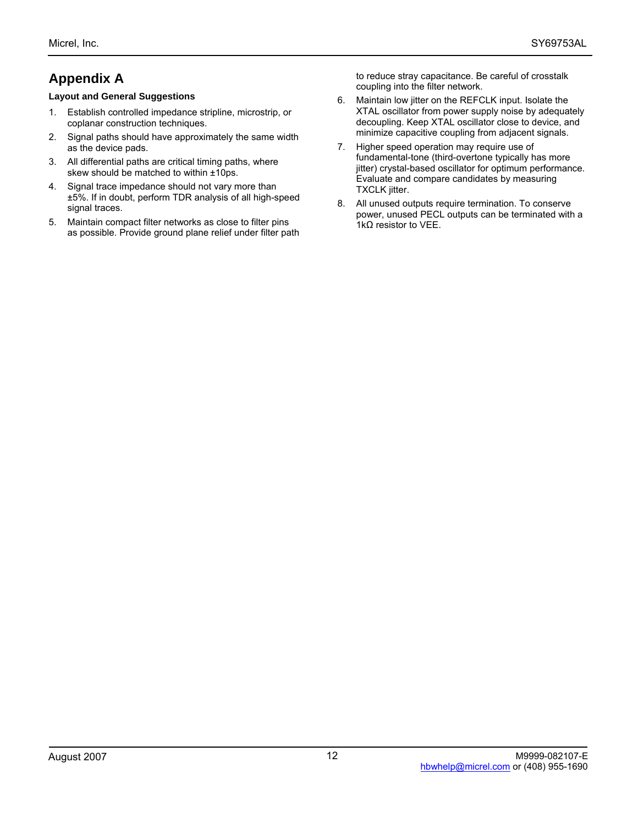# **Appendix A**

#### **Layout and General Suggestions**

- 1. Establish controlled impedance stripline, microstrip, or coplanar construction techniques.
- 2. Signal paths should have approximately the same width as the device pads.
- 3. All differential paths are critical timing paths, where skew should be matched to within ±10ps.
- 4. Signal trace impedance should not vary more than ±5%. If in doubt, perform TDR analysis of all high-speed signal traces.
- 5. Maintain compact filter networks as close to filter pins as possible. Provide ground plane relief under filter path

to reduce stray capacitance. Be careful of crosstalk coupling into the filter network.

- 6. Maintain low jitter on the REFCLK input. Isolate the XTAL oscillator from power supply noise by adequately decoupling. Keep XTAL oscillator close to device, and minimize capacitive coupling from adjacent signals.
- 7. Higher speed operation may require use of fundamental-tone (third-overtone typically has more jitter) crystal-based oscillator for optimum performance. Evaluate and compare candidates by measuring TXCLK jitter.
- 8. All unused outputs require termination. To conserve power, unused PECL outputs can be terminated with a 1kΩ resistor to VEE.